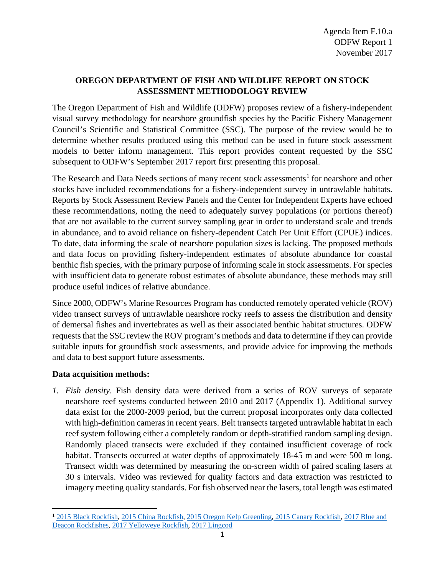# **OREGON DEPARTMENT OF FISH AND WILDLIFE REPORT ON STOCK ASSESSMENT METHODOLOGY REVIEW**

The Oregon Department of Fish and Wildlife (ODFW) proposes review of a fishery-independent visual survey methodology for nearshore groundfish species by the Pacific Fishery Management Council's Scientific and Statistical Committee (SSC). The purpose of the review would be to determine whether results produced using this method can be used in future stock assessment models to better inform management. This report provides content requested by the SSC subsequent to ODFW's September 2017 report first presenting this proposal.

The Research and Data Needs sections of many recent stock assessments<sup>[1](#page-0-0)</sup> for nearshore and other stocks have included recommendations for a fishery-independent survey in untrawlable habitats. Reports by Stock Assessment Review Panels and the Center for Independent Experts have echoed these recommendations, noting the need to adequately survey populations (or portions thereof) that are not available to the current survey sampling gear in order to understand scale and trends in abundance, and to avoid reliance on fishery-dependent Catch Per Unit Effort (CPUE) indices. To date, data informing the scale of nearshore population sizes is lacking. The proposed methods and data focus on providing fishery-independent estimates of absolute abundance for coastal benthic fish species, with the primary purpose of informing scale in stock assessments. For species with insufficient data to generate robust estimates of absolute abundance, these methods may still produce useful indices of relative abundance.

Since 2000, ODFW's Marine Resources Program has conducted remotely operated vehicle (ROV) video transect surveys of untrawlable nearshore rocky reefs to assess the distribution and density of demersal fishes and invertebrates as well as their associated benthic habitat structures. ODFW requests that the SSC review the ROV program's methods and data to determine if they can provide suitable inputs for groundfish stock assessments, and provide advice for improving the methods and data to best support future assessments.

## **Data acquisition methods:**

l

*1. Fish density*. Fish density data were derived from a series of ROV surveys of separate nearshore reef systems conducted between 2010 and 2017 (Appendix 1). Additional survey data exist for the 2000-2009 period, but the current proposal incorporates only data collected with high-definition cameras in recent years. Belt transects targeted untrawlable habitat in each reef system following either a completely random or depth-stratified random sampling design. Randomly placed transects were excluded if they contained insufficient coverage of rock habitat. Transects occurred at water depths of approximately 18-45 m and were 500 m long. Transect width was determined by measuring the on-screen width of paired scaling lasers at 30 s intervals. Video was reviewed for quality factors and data extraction was restricted to imagery meeting quality standards. For fish observed near the lasers, total length was estimated

<span id="page-0-0"></span><sup>1</sup> [2015 Black Rockfish,](http://www.pcouncil.org/wp-content/uploads/2016/04/Black-rockfish-2015_FINAL.pdf) [2015 China Rockfish,](http://www.pcouncil.org/wp-content/uploads/2016/05/2015_China_assessment_Final.pdf) [2015 Oregon Kelp Greenling,](http://www.pcouncil.org/wp-content/uploads/2016/03/KelpGreenling2015_FINAL.pdf) [2015 Canary Rockfish,](http://www.pcouncil.org/wp-content/uploads/2016/05/Canary_2016_Final.pdf) [2017 Blue and](http://www.pcouncil.org/wp-content/uploads/2017/08/E8_Att9_BlueDeacon_FullDoc_E-Only_SEPT2017BB.pdf)  [Deacon Rockfishes,](http://www.pcouncil.org/wp-content/uploads/2017/08/E8_Att9_BlueDeacon_FullDoc_E-Only_SEPT2017BB.pdf) [2017 Yelloweye Rockfish,](http://www.pcouncil.org/wp-content/uploads/2017/08/E8_Att5_Yelloweye_FullDoc_E-Only_SEPT2017BB.pdf) [2017 Lingcod](http://www.pcouncil.org/wp-content/uploads/2017/08/E8_Att1_Lingcod_FullDoc_E-Only_SEPT2017BB.pdf)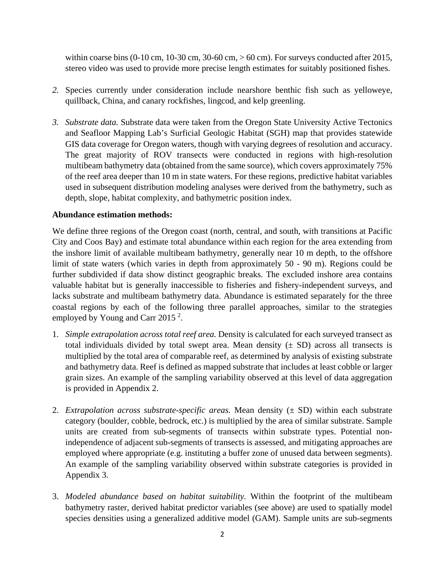within coarse bins  $(0-10 \text{ cm}, 10-30 \text{ cm}, 30-60 \text{ cm}, > 60 \text{ cm})$ . For surveys conducted after 2015, stereo video was used to provide more precise length estimates for suitably positioned fishes.

- *2.* Species currently under consideration include nearshore benthic fish such as yelloweye, quillback, China, and canary rockfishes, lingcod, and kelp greenling.
- *3. Substrate data.* Substrate data were taken from the Oregon State University Active Tectonics and Seafloor Mapping Lab's Surficial Geologic Habitat (SGH) map that provides statewide GIS data coverage for Oregon waters, though with varying degrees of resolution and accuracy. The great majority of ROV transects were conducted in regions with high-resolution multibeam bathymetry data (obtained from the same source), which covers approximately 75% of the reef area deeper than 10 m in state waters. For these regions, predictive habitat variables used in subsequent distribution modeling analyses were derived from the bathymetry, such as depth, slope, habitat complexity, and bathymetric position index.

#### **Abundance estimation methods:**

We define three regions of the Oregon coast (north, central, and south, with transitions at Pacific City and Coos Bay) and estimate total abundance within each region for the area extending from the inshore limit of available multibeam bathymetry, generally near 10 m depth, to the offshore limit of state waters (which varies in depth from approximately 50 - 90 m). Regions could be further subdivided if data show distinct geographic breaks. The excluded inshore area contains valuable habitat but is generally inaccessible to fisheries and fishery-independent surveys, and lacks substrate and multibeam bathymetry data. Abundance is estimated separately for the three coastal regions by each of the following three parallel approaches, similar to the strategies employed by Young and Carr 2015 $^2$ .

- 1. *Simple extrapolation across total reef area.* Density is calculated for each surveyed transect as total individuals divided by total swept area. Mean density  $(\pm SD)$  across all transects is multiplied by the total area of comparable reef, as determined by analysis of existing substrate and bathymetry data. Reef is defined as mapped substrate that includes at least cobble or larger grain sizes. An example of the sampling variability observed at this level of data aggregation is provided in Appendix 2.
- 2. *Extrapolation across substrate-specific areas.* Mean density (± SD) within each substrate category (boulder, cobble, bedrock, etc.) is multiplied by the area of similar substrate. Sample units are created from sub-segments of transects within substrate types. Potential nonindependence of adjacent sub-segments of transects is assessed, and mitigating approaches are employed where appropriate (e.g. instituting a buffer zone of unused data between segments). An example of the sampling variability observed within substrate categories is provided in Appendix 3.
- 3. *Modeled abundance based on habitat suitability.* Within the footprint of the multibeam bathymetry raster, derived habitat predictor variables (see above) are used to spatially model species densities using a generalized additive model (GAM). Sample units are sub-segments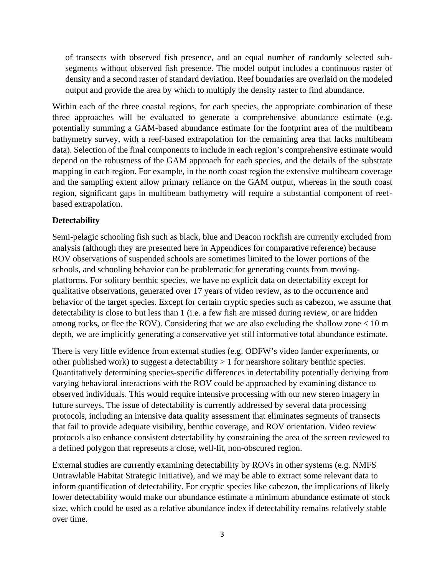of transects with observed fish presence, and an equal number of randomly selected subsegments without observed fish presence. The model output includes a continuous raster of density and a second raster of standard deviation. Reef boundaries are overlaid on the modeled output and provide the area by which to multiply the density raster to find abundance.

Within each of the three coastal regions, for each species, the appropriate combination of these three approaches will be evaluated to generate a comprehensive abundance estimate (e.g. potentially summing a GAM-based abundance estimate for the footprint area of the multibeam bathymetry survey, with a reef-based extrapolation for the remaining area that lacks multibeam data). Selection of the final components to include in each region's comprehensive estimate would depend on the robustness of the GAM approach for each species, and the details of the substrate mapping in each region. For example, in the north coast region the extensive multibeam coverage and the sampling extent allow primary reliance on the GAM output, whereas in the south coast region, significant gaps in multibeam bathymetry will require a substantial component of reefbased extrapolation.

#### **Detectability**

Semi-pelagic schooling fish such as black, blue and Deacon rockfish are currently excluded from analysis (although they are presented here in Appendices for comparative reference) because ROV observations of suspended schools are sometimes limited to the lower portions of the schools, and schooling behavior can be problematic for generating counts from movingplatforms. For solitary benthic species, we have no explicit data on detectability except for qualitative observations, generated over 17 years of video review, as to the occurrence and behavior of the target species. Except for certain cryptic species such as cabezon, we assume that detectability is close to but less than 1 (i.e. a few fish are missed during review, or are hidden among rocks, or flee the ROV). Considering that we are also excluding the shallow zone < 10 m depth, we are implicitly generating a conservative yet still informative total abundance estimate.

There is very little evidence from external studies (e.g. ODFW's video lander experiments, or other published work) to suggest a detectability > 1 for nearshore solitary benthic species. Quantitatively determining species-specific differences in detectability potentially deriving from varying behavioral interactions with the ROV could be approached by examining distance to observed individuals. This would require intensive processing with our new stereo imagery in future surveys. The issue of detectability is currently addressed by several data processing protocols, including an intensive data quality assessment that eliminates segments of transects that fail to provide adequate visibility, benthic coverage, and ROV orientation. Video review protocols also enhance consistent detectability by constraining the area of the screen reviewed to a defined polygon that represents a close, well-lit, non-obscured region.

External studies are currently examining detectability by ROVs in other systems (e.g. NMFS Untrawlable Habitat Strategic Initiative), and we may be able to extract some relevant data to inform quantification of detectability. For cryptic species like cabezon, the implications of likely lower detectability would make our abundance estimate a minimum abundance estimate of stock size, which could be used as a relative abundance index if detectability remains relatively stable over time.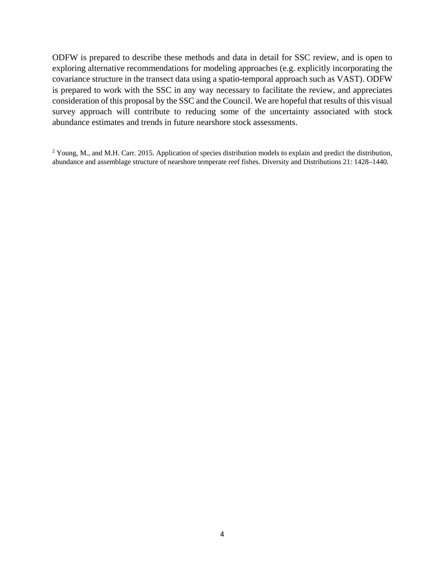ODFW is prepared to describe these methods and data in detail for SSC review, and is open to exploring alternative recommendations for modeling approaches (e.g. explicitly incorporating the covariance structure in the transect data using a spatio-temporal approach such as VAST). ODFW is prepared to work with the SSC in any way necessary to facilitate the review, and appreciates consideration of this proposal by the SSC and the Council. We are hopeful that results of this visual survey approach will contribute to reducing some of the uncertainty associated with stock abundance estimates and trends in future nearshore stock assessments.

<sup>2</sup> Young, M., and M.H. Carr. 2015. Application of species distribution models to explain and predict the distribution, abundance and assemblage structure of nearshore temperate reef fishes. Diversity and Distributions 21: 1428–1440.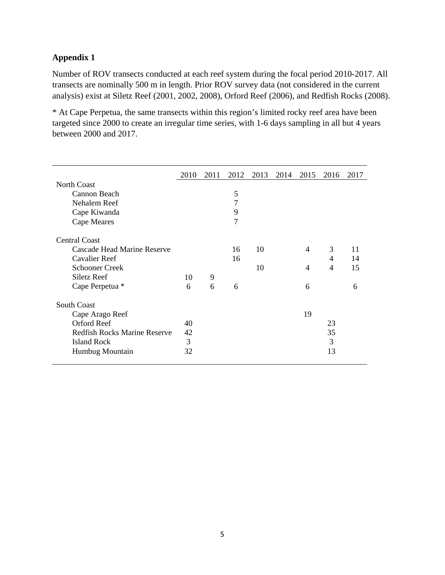## **Appendix 1**

Number of ROV transects conducted at each reef system during the focal period 2010-2017. All transects are nominally 500 m in length. Prior ROV survey data (not considered in the current analysis) exist at Siletz Reef (2001, 2002, 2008), Orford Reef (2006), and Redfish Rocks (2008).

\* At Cape Perpetua, the same transects within this region's limited rocky reef area have been targeted since 2000 to create an irregular time series, with 1-6 days sampling in all but 4 years between 2000 and 2017.

|                                     | 2010 | 2011 | 2012           | 2013 | 2014 | 2015 | 2016 | 2017 |  |
|-------------------------------------|------|------|----------------|------|------|------|------|------|--|
| North Coast                         |      |      |                |      |      |      |      |      |  |
| Cannon Beach                        |      |      | 5              |      |      |      |      |      |  |
| Nehalem Reef                        |      |      | 7              |      |      |      |      |      |  |
| Cape Kiwanda                        |      |      | 9              |      |      |      |      |      |  |
| Cape Meares                         |      |      | $\overline{7}$ |      |      |      |      |      |  |
| <b>Central Coast</b>                |      |      |                |      |      |      |      |      |  |
| Cascade Head Marine Reserve         |      |      | 16             | 10   |      | 4    | 3    | 11   |  |
| Cavalier Reef                       |      |      | 16             |      |      |      | 4    | 14   |  |
| <b>Schooner Creek</b>               |      |      |                | 10   |      | 4    | 4    | 15   |  |
| Siletz Reef                         | 10   | 9    |                |      |      |      |      |      |  |
| Cape Perpetua *                     | 6    | 6    | 6              |      |      | 6    |      | 6    |  |
| South Coast                         |      |      |                |      |      |      |      |      |  |
| Cape Arago Reef                     |      |      |                |      |      | 19   |      |      |  |
| Orford Reef                         | 40   |      |                |      |      |      | 23   |      |  |
| <b>Redfish Rocks Marine Reserve</b> | 42   |      |                |      |      |      | 35   |      |  |
| <b>Island Rock</b>                  | 3    |      |                |      |      |      | 3    |      |  |
| Humbug Mountain                     | 32   |      |                |      |      |      | 13   |      |  |
|                                     |      |      |                |      |      |      |      |      |  |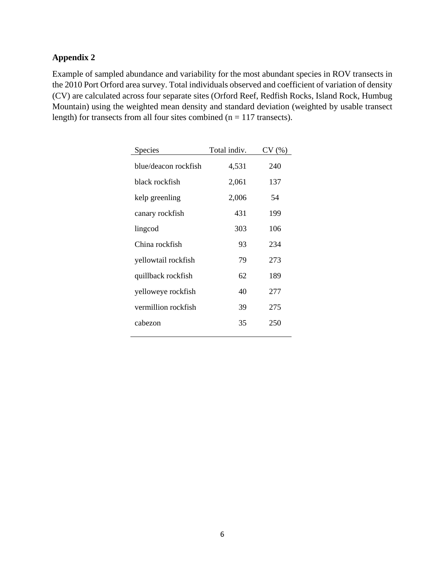# **Appendix 2**

Example of sampled abundance and variability for the most abundant species in ROV transects in the 2010 Port Orford area survey. Total individuals observed and coefficient of variation of density (CV) are calculated across four separate sites (Orford Reef, Redfish Rocks, Island Rock, Humbug Mountain) using the weighted mean density and standard deviation (weighted by usable transect length) for transects from all four sites combined ( $n = 117$  transects).

| Species              | Total indiv. | CV(%) |
|----------------------|--------------|-------|
| blue/deacon rockfish | 4,531        | 240   |
| black rockfish       | 2,061        | 137   |
| kelp greenling       | 2,006        | 54    |
| canary rockfish      | 431          | 199   |
| lingcod              | 303          | 106   |
| China rockfish       | 93           | 234   |
| yellowtail rockfish  | 79           | 273   |
| quillback rockfish   | 62           | 189   |
| yelloweye rockfish   | 40           | 277   |
| vermillion rockfish  | 39           | 275   |
| cabezon              | 35           | 250   |
|                      |              |       |